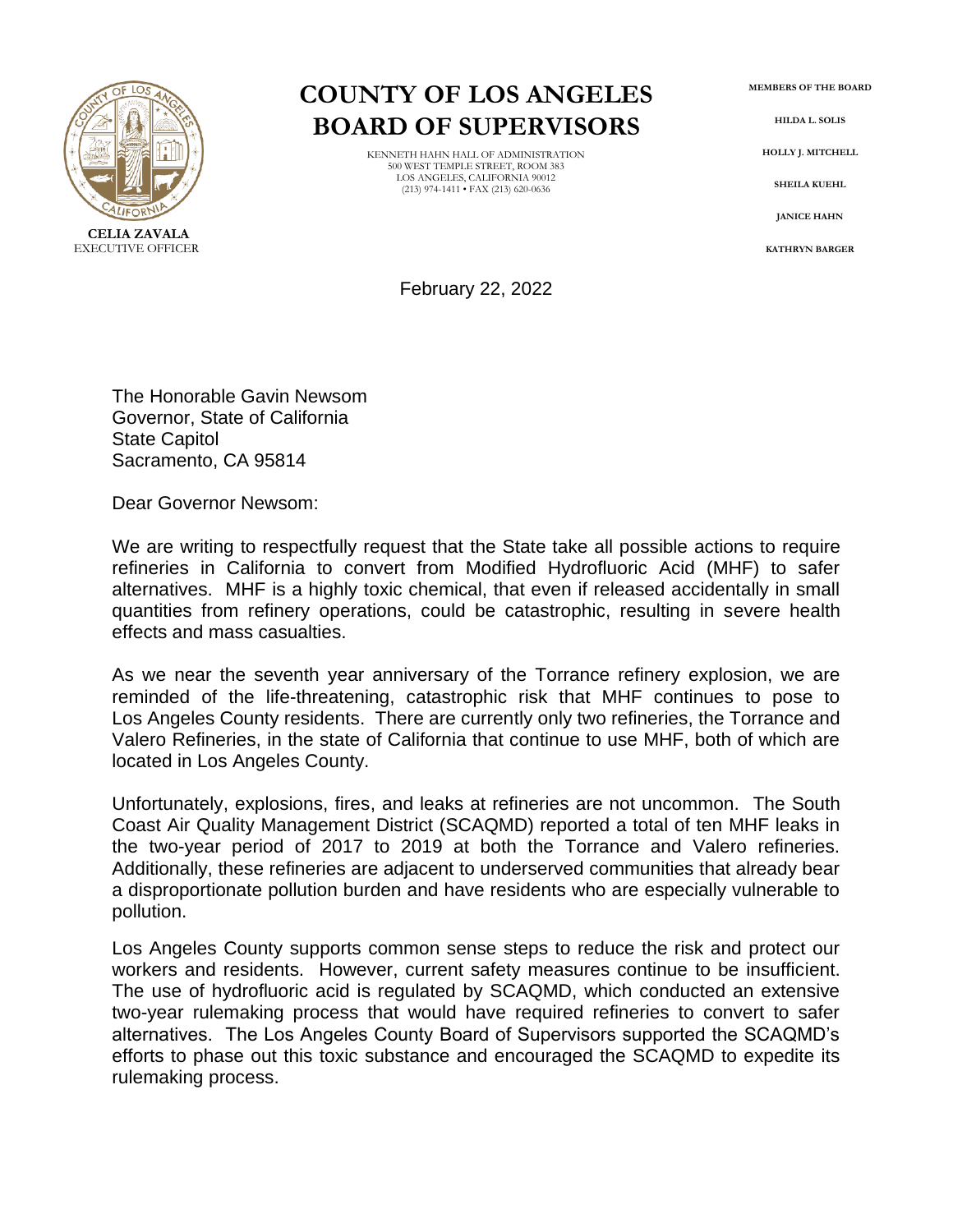

## **COUNTY OF LOS ANGELES BOARD OF SUPERVISORS**

KENNETH HAHN HALL OF ADMINISTRATION 500 WEST TEMPLE STREET, ROOM 383 LOS ANGELES, CALIFORNIA 90012 (213) 974-1411 • FAX (213) 620-0636

**MEMBERS OF THE BOARD**

**HILDA L. SOLIS**

**HOLLY J. MITCHELL**

**SHEILA KUEHL**

**JANICE HAHN**

**KATHRYN BARGER**

February 22, 2022

The Honorable Gavin Newsom Governor, State of California State Capitol Sacramento, CA 95814

Dear Governor Newsom:

We are writing to respectfully request that the State take all possible actions to require refineries in California to convert from Modified Hydrofluoric Acid (MHF) to safer alternatives. MHF is a highly toxic chemical, that even if released accidentally in small quantities from refinery operations, could be catastrophic, resulting in severe health effects and mass casualties.

As we near the seventh year anniversary of the Torrance refinery explosion, we are reminded of the life-threatening, catastrophic risk that MHF continues to pose to Los Angeles County residents. There are currently only two refineries, the Torrance and Valero Refineries, in the state of California that continue to use MHF, both of which are located in Los Angeles County.

Unfortunately, explosions, fires, and leaks at refineries are not uncommon. The South Coast Air Quality Management District (SCAQMD) reported a total of ten MHF leaks in the two-year period of 2017 to 2019 at both the Torrance and Valero refineries. Additionally, these refineries are adjacent to underserved communities that already bear a disproportionate pollution burden and have residents who are especially vulnerable to pollution.

Los Angeles County supports common sense steps to reduce the risk and protect our workers and residents. However, current safety measures continue to be insufficient. The use of hydrofluoric acid is regulated by SCAQMD, which conducted an extensive two-year rulemaking process that would have required refineries to convert to safer alternatives. The Los Angeles County Board of Supervisors supported the SCAQMD's efforts to phase out this toxic substance and encouraged the SCAQMD to expedite its rulemaking process.